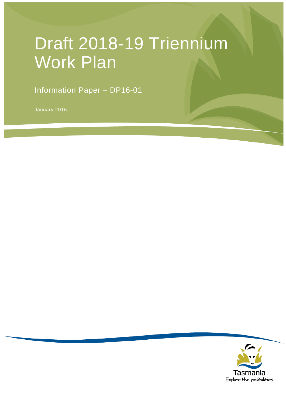# Draft 2018-19 Triennium Work Plan

Information Paper – DP16-01

January 2016

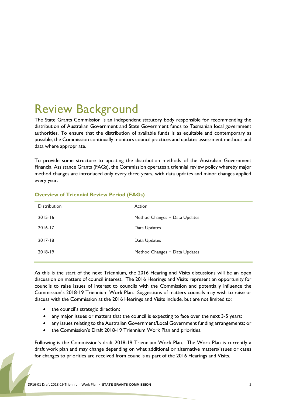## Review Background

The State Grants Commission is an independent statutory body responsible for recommending the distribution of Australian Government and State Government funds to Tasmanian local government authorities. To ensure that the distribution of available funds is as equitable and contemporary as possible, the Commission continually monitors council practices and updates assessment methods and data where appropriate.

To provide some structure to updating the distribution methods of the Australian Government Financial Assistance Grants (FAGs), the Commission operates a triennial review policy whereby major method changes are introduced only every three years, with data updates and minor changes applied every year.

| <b>Distribution</b> | Action                        |
|---------------------|-------------------------------|
| $2015 - 16$         | Method Changes + Data Updates |
| $2016 - 17$         | Data Updates                  |
| $2017 - 18$         | Data Updates                  |
| 2018-19             | Method Changes + Data Updates |
|                     |                               |

#### **Overview of Triennial Review Period (FAGs)**

As this is the start of the next Triennium, the 2016 Hearing and Visits discussions will be an open discussion on matters of council interest. The 2016 Hearings and Visits represent an opportunity for councils to raise issues of interest to councils with the Commission and potentially influence the Commission's 2018-19 Triennium Work Plan. Suggestions of matters councils may wish to raise or discuss with the Commission at the 2016 Hearings and Visits include, but are not limited to:

- the council's strategic direction;
- any major issues or matters that the council is expecting to face over the next 3-5 years;
- any issues relating to the Australian Government/Local Government funding arrangements; or
- the Commission's Draft 2018-19 Triennium Work Plan and priorities.

Following is the Commission's draft 2018-19 Triennium Work Plan. The Work Plan is currently a draft work plan and may change depending on what additional or alternative matters/issues or cases for changes to priorities are received from councils as part of the 2016 Hearings and Visits.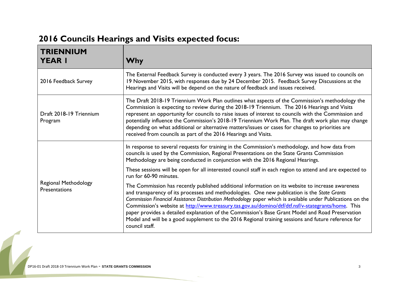## **2016 Councils Hearings and Visits expected focus:**

| <b>TRIENNIUM</b><br><b>YEAR I</b>     | <b>Why</b>                                                                                                                                                                                                                                                                                                                                                                                                                                                                                                                                                                                                                                          |
|---------------------------------------|-----------------------------------------------------------------------------------------------------------------------------------------------------------------------------------------------------------------------------------------------------------------------------------------------------------------------------------------------------------------------------------------------------------------------------------------------------------------------------------------------------------------------------------------------------------------------------------------------------------------------------------------------------|
| 2016 Feedback Survey                  | The External Feedback Survey is conducted every 3 years. The 2016 Survey was issued to councils on<br>19 November 2015, with responses due by 24 December 2015. Feedback Survey Discussions at the<br>Hearings and Visits will be depend on the nature of feedback and issues received.                                                                                                                                                                                                                                                                                                                                                             |
| Draft 2018-19 Triennium<br>Program    | The Draft 2018-19 Triennium Work Plan outlines what aspects of the Commission's methodology the<br>Commission is expecting to review during the 2018-19 Triennium. The 2016 Hearings and Visits<br>represent an opportunity for councils to raise issues of interest to councils with the Commission and<br>potentially influence the Commission's 2018-19 Triennium Work Plan. The draft work plan may change<br>depending on what additional or alternative matters/issues or cases for changes to priorities are<br>received from councils as part of the 2016 Hearings and Visits.                                                              |
| Regional Methodology<br>Presentations | In response to several requests for training in the Commission's methodology, and how data from<br>councils is used by the Commission, Regional Presentations on the State Grants Commission<br>Methodology are being conducted in conjunction with the 2016 Regional Hearings.                                                                                                                                                                                                                                                                                                                                                                     |
|                                       | These sessions will be open for all interested council staff in each region to attend and are expected to<br>run for 60-90 minutes.                                                                                                                                                                                                                                                                                                                                                                                                                                                                                                                 |
|                                       | The Commission has recently published additional information on its website to increase awareness<br>and transparency of its processes and methodologies. One new publication is the State Grants<br>Commission Financial Assistance Distribution Methodology paper which is available under Publications on the<br>Commission's website at http://www.treasury.tas.gov.au/domino/dtf/dtf.nsf/v-stategrants/home. This<br>paper provides a detailed explanation of the Commission's Base Grant Model and Road Preservation<br>Model and will be a good supplement to the 2016 Regional training sessions and future reference for<br>council staff. |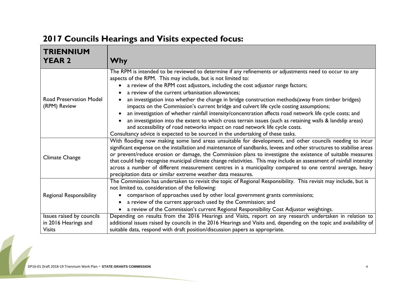#### **TRIENNIUM YEAR 2 Why** Road Preservation Model (RPM) Review The RPM is intended to be reviewed to determine if any refinements or adjustments need to occur to any aspects of the RPM. This may include, but is not limited to: • a review of the RPM cost adjustors, including the cost adjustor range factors; a review of the current urbanisation allowances; an investigation into whether the change in bridge construction methods(away from timber bridges) impacts on the Commission's current bridge and culvert life cycle costing assumptions; an investigation of whether rainfall intensity/concentration affects road network life cycle costs; and an investigation into the extent to which cross terrain issues (such as retaining walls & landslip areas) and accessibility of road networks impact on road network life cycle costs. Consultancy advice is expected to be sourced in the undertaking of these tasks. Climate Change With flooding now making some land areas unsuitable for development, and other councils needing to incur significant expense on the installation and maintenance of sandbanks, levees and other structures to stabilise areas or prevent/reduce erosion or damage, the Commission plans to investigate the existence of suitable measures that could help recognise municipal climate change relativities. This may include an assessment of rainfall intensity across a number of different measurement centres in a municipality compared to one central average, heavy precipitation data or similar extreme weather data measures. Regional Responsibility The Commission has undertaken to revisit the topic of Regional Responsibility. This revisit may include, but is not limited to, consideration of the following: comparison of approaches used by other local government grants commissions; a review of the current approach used by the Commission; and a review of the Commission's current Regional Responsibility Cost Adjustor weightings. Issues raised by councils in 2016 Hearings and Visits Depending on results from the 2016 Hearings and Visits, report on any research undertaken in relation to additional issues raised by councils in the 2016 Hearings and Visits and, depending on the topic and availability of suitable data, respond with draft position/discussion papers as appropriate.

### **2017 Councils Hearings and Visits expected focus:**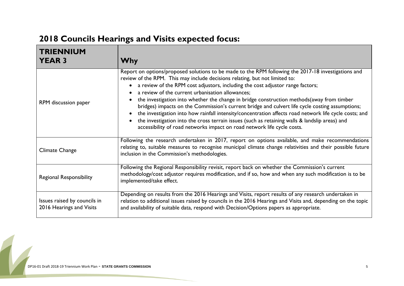## **2018 Councils Hearings and Visits expected focus:**

| <b>TRIENNIUM</b><br><b>YEAR 3</b>                        | Why                                                                                                                                                                                                                                                                                                                                                                                                                                                                                                                                                                                                                                                                                                                                                                                                              |
|----------------------------------------------------------|------------------------------------------------------------------------------------------------------------------------------------------------------------------------------------------------------------------------------------------------------------------------------------------------------------------------------------------------------------------------------------------------------------------------------------------------------------------------------------------------------------------------------------------------------------------------------------------------------------------------------------------------------------------------------------------------------------------------------------------------------------------------------------------------------------------|
| RPM discussion paper                                     | Report on options/proposed solutions to be made to the RPM following the 2017-18 investigations and<br>review of the RPM. This may include decisions relating, but not limited to:<br>a review of the RPM cost adjustors, including the cost adjustor range factors;<br>a review of the current urbanisation allowances;<br>the investigation into whether the change in bridge construction methods (away from timber<br>bridges) impacts on the Commission's current bridge and culvert life cycle costing assumptions;<br>the investigation into how rainfall intensity/concentration affects road network life cycle costs; and<br>the investigation into the cross terrain issues (such as retaining walls & landslip areas) and<br>accessibility of road networks impact on road network life cycle costs. |
| <b>Climate Change</b>                                    | Following the research undertaken in 2017, report on options available, and make recommendations<br>relating to, suitable measures to recognise municipal climate change relativities and their possible future<br>inclusion in the Commission's methodologies.                                                                                                                                                                                                                                                                                                                                                                                                                                                                                                                                                  |
| <b>Regional Responsibility</b>                           | Following the Regional Responsibility revisit, report back on whether the Commission's current<br>methodology/cost adjustor requires modification, and if so, how and when any such modification is to be<br>implemented/take effect.                                                                                                                                                                                                                                                                                                                                                                                                                                                                                                                                                                            |
| Issues raised by councils in<br>2016 Hearings and Visits | Depending on results from the 2016 Hearings and Visits, report results of any research undertaken in<br>relation to additional issues raised by councils in the 2016 Hearings and Visits and, depending on the topic<br>and availability of suitable data, respond with Decision/Options papers as appropriate.                                                                                                                                                                                                                                                                                                                                                                                                                                                                                                  |